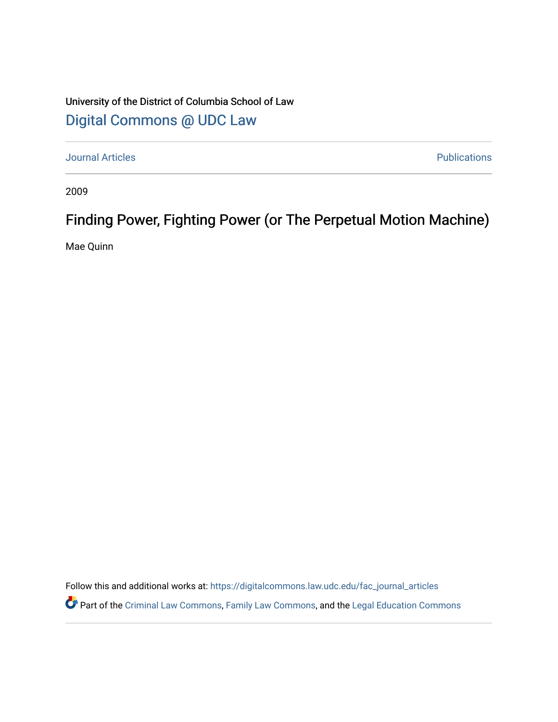## University of the District of Columbia School of Law [Digital Commons @ UDC Law](https://digitalcommons.law.udc.edu/)

[Journal Articles](https://digitalcommons.law.udc.edu/fac_journal_articles) **Publications** 

2009

# Finding Power, Fighting Power (or The Perpetual Motion Machine)

Mae Quinn

Follow this and additional works at: [https://digitalcommons.law.udc.edu/fac\\_journal\\_articles](https://digitalcommons.law.udc.edu/fac_journal_articles?utm_source=digitalcommons.law.udc.edu%2Ffac_journal_articles%2F28&utm_medium=PDF&utm_campaign=PDFCoverPages)

Part of the [Criminal Law Commons,](http://network.bepress.com/hgg/discipline/912?utm_source=digitalcommons.law.udc.edu%2Ffac_journal_articles%2F28&utm_medium=PDF&utm_campaign=PDFCoverPages) [Family Law Commons,](http://network.bepress.com/hgg/discipline/602?utm_source=digitalcommons.law.udc.edu%2Ffac_journal_articles%2F28&utm_medium=PDF&utm_campaign=PDFCoverPages) and the [Legal Education Commons](http://network.bepress.com/hgg/discipline/857?utm_source=digitalcommons.law.udc.edu%2Ffac_journal_articles%2F28&utm_medium=PDF&utm_campaign=PDFCoverPages)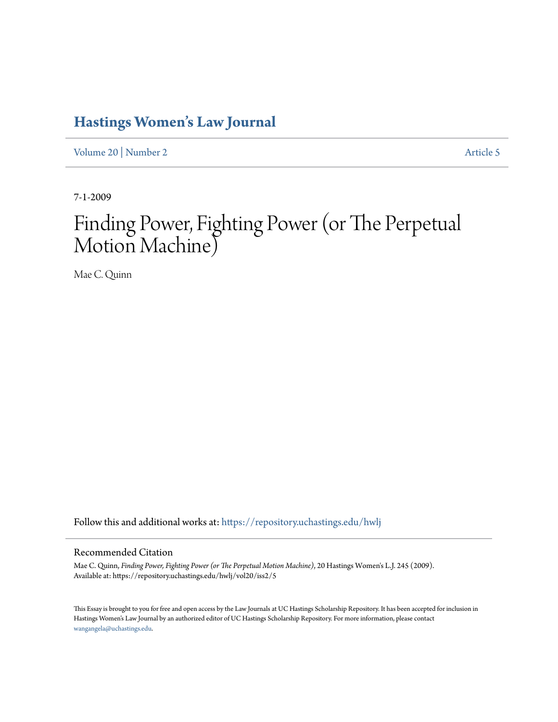# **[Hastings Women's Law Journal](https://repository.uchastings.edu/hwlj?utm_source=repository.uchastings.edu%2Fhwlj%2Fvol20%2Fiss2%2F5&utm_medium=PDF&utm_campaign=PDFCoverPages)**

[Volume 20](https://repository.uchastings.edu/hwlj/vol20?utm_source=repository.uchastings.edu%2Fhwlj%2Fvol20%2Fiss2%2F5&utm_medium=PDF&utm_campaign=PDFCoverPages) | [Number 2](https://repository.uchastings.edu/hwlj/vol20/iss2?utm_source=repository.uchastings.edu%2Fhwlj%2Fvol20%2Fiss2%2F5&utm_medium=PDF&utm_campaign=PDFCoverPages) [Article 5](https://repository.uchastings.edu/hwlj/vol20/iss2/5?utm_source=repository.uchastings.edu%2Fhwlj%2Fvol20%2Fiss2%2F5&utm_medium=PDF&utm_campaign=PDFCoverPages)

7-1-2009

# Finding Power, Fighting Power (or The Perpetual Motion Machine)

Mae C. Quinn

Follow this and additional works at: [https://repository.uchastings.edu/hwlj](https://repository.uchastings.edu/hwlj?utm_source=repository.uchastings.edu%2Fhwlj%2Fvol20%2Fiss2%2F5&utm_medium=PDF&utm_campaign=PDFCoverPages)

#### Recommended Citation

Mae C. Quinn, *Finding Power, Fighting Power (or The Perpetual Motion Machine)*, 20 Hastings Women's L.J. 245 (2009). Available at: https://repository.uchastings.edu/hwlj/vol20/iss2/5

This Essay is brought to you for free and open access by the Law Journals at UC Hastings Scholarship Repository. It has been accepted for inclusion in Hastings Women's Law Journal by an authorized editor of UC Hastings Scholarship Repository. For more information, please contact [wangangela@uchastings.edu](mailto:wangangela@uchastings.edu).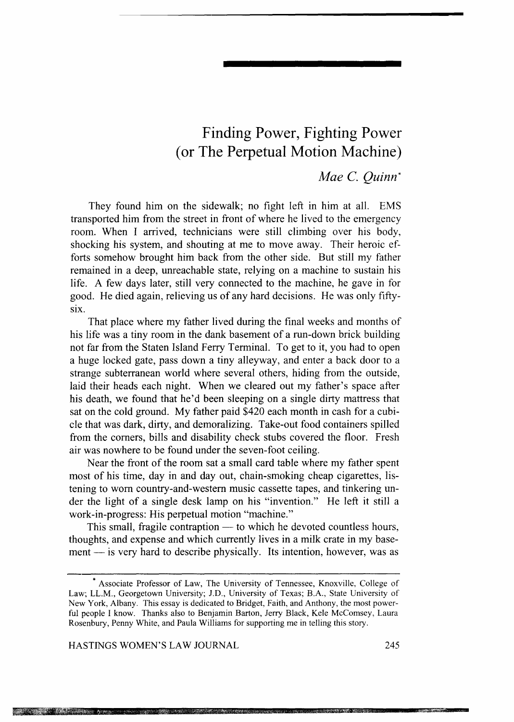### **Finding Power, Fighting Power ( or The Perpetual Motion Machine)**

### *Mae* C. *Quinn\**

They found him on the sidewalk; no fight left in him at all. EMS transported him from the street in front of where he lived to the emergency room. When I arrived, technicians were still climbing over his body, shocking his system, and shouting at me to move away. Their heroic efforts somehow brought him back from the other side. But still my father remained in a deep, unreachable state, relying on a machine to sustain his life. A few days later, still very connected to the machine, he gave in for good. He died again, relieving us of any hard decisions. He was only fifty-SIX.

That place where my father lived during the final weeks and months of his life was a tiny room in the dank basement of a run-down brick building not far from the Staten Island Ferry Terminal. To get to it, you had to open a huge locked gate, pass down a tiny alleyway, and enter a back door to a strange subterranean world where several others, hiding from the outside, laid their heads each night. When we cleared out my father's space after his death, we found that he'd been sleeping on a single dirty mattress that sat on the cold ground. My father paid \$420 each month in cash for a cubicle that was dark, dirty, and demoralizing. Take-out food containers spilled from the comers, bills and disability check stubs covered the floor. Fresh air was nowhere to be found under the seven-foot ceiling.

Near the front of the room sat a small card table where my father spent most of his time, day in and day out, chain-smoking cheap cigarettes, listening to worn country-and-western music cassette tapes, and tinkering under the light of a single desk lamp on his "invention." He left it still a work-in-progress: His perpetual motion "machine."

This small, fragile contraption  $-$  to which he devoted countless hours, thoughts, and expense and which currently lives in a milk crate in my base $ment - is very hard to describe physically. Its intention, however, was as$ 

HASTINGS WOMEN'S LAW JOURNAL 245

The second contract of the second con-

<sup>\*</sup> Associate Professor of Law, The University of Tennessee, Knoxville, College of Law; LL.M., Georgetown University; J.D., University of Texas; B.A., State University of New York, Albany. This essay is dedicated to Bridget, Faith, and Anthony, the most powerful people I know. Thanks also to Benjamin Barton, Jerry Black, Kele McComsey, Laura Rosenbury, Penny White, and Paula Williams for supporting me in telling this story.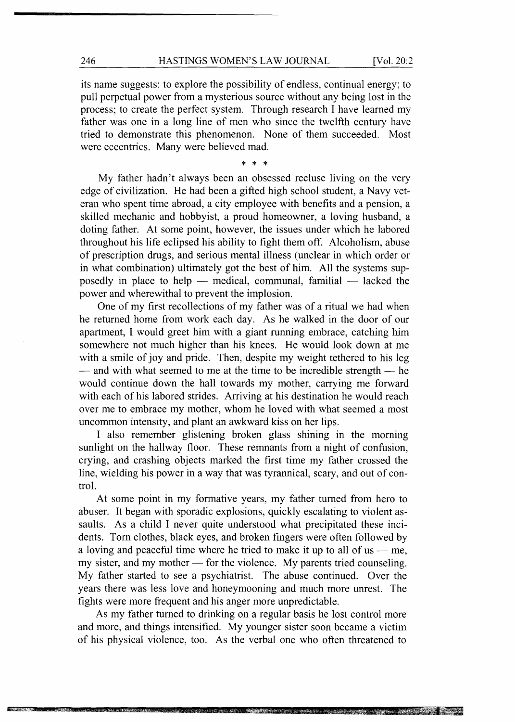its name suggests: to explore the possibility of endless, continual energy; to pull perpetual power from a mysterious source without any being lost in the process; to create the perfect system. Through research I have learned my father was one in a long line of men who since the twelfth century have tried to demonstrate this phenomenon. None of them succeeded. Most were eccentrics. Many were believed mad.

\* \* \*

My father hadn't always been an obsessed recluse living on the very edge of civilization. He had been a gifted high school student, a Navy veteran who spent time abroad, a city employee with benefits and a pension, a skilled mechanic and hobbyist, a proud homeowner, a loving husband, a doting father. At some point, however, the issues under which he labored throughout his life eclipsed his ability to fight them off. Alcoholism, abuse of prescription drugs, and serious mental illness (unclear in which order or in what combination) ultimately got the best of him. All the systems supposedly in place to help  $-$  medical, communal, familial  $-$  lacked the power and wherewithal to prevent the implosion.

One of my first recollections of my father was of a ritual we had when he returned home from work each day. As he walked in the door of our apartment, I would greet him with a giant running embrace, catching him somewhere not much higher than his knees. He would look down at me with a smile of joy and pride. Then, despite my weight tethered to his leg  $-$  and with what seemed to me at the time to be incredible strength  $-$  he would continue down the hall towards my mother, carrying me forward with each of his labored strides. Arriving at his destination he would reach over me to embrace my mother, whom he loved with what seemed a most uncommon intensity, and plant an awkward kiss on her lips.

I also remember glistening broken glass shining in the morning sunlight on the hallway floor. These remnants from a night of confusion, crying, and crashing objects marked the first time my father crossed the line, wielding his power in a way that was tyrannical, scary, and out of control.

At some point in my formative years, my father turned from hero to abuser. It began with sporadic explosions, quickly escalating to violent assaults. As a child I never quite understood what precipitated these incidents. Tom clothes, black eyes, and broken fingers were often followed by a loving and peaceful time where he tried to make it up to all of us  $-$  me, my sister, and my mother  $-$  for the violence. My parents tried counseling. My father started to see a psychiatrist. The abuse continued. Over the years there was less love and honeymooning and much more unrest. The fights were more frequent and his anger more unpredictable.

As my father turned to drinking on a regular basis he lost control more and more, and things intensified. My younger sister soon became a victim of his physical violence, too. As the verbal one who often threatened to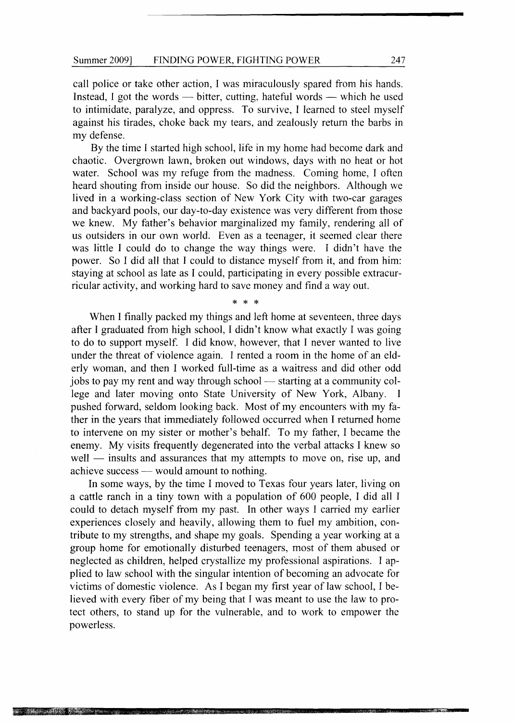call police or take other action, I was miraculously spared from his hands. Instead, I got the words  $-$  bitter, cutting, hateful words  $-$  which he used to intimidate, paralyze, and oppress. To survive, I learned to steel myself against his tirades, choke back my tears, and zealously return the barbs in my defense.

By the time I started high school, life in my home had become dark and chaotic. Overgrown lawn, broken out windows, days with no heat or hot water. School was my refuge from the madness. Coming home, I often heard shouting from inside our house. So did the neighbors. Although we lived in a working-class section of New York City with two-car garages and backyard pools, our day-to-day existence was very different from those we knew. My father's behavior marginalized my family, rendering all of us outsiders in our own world. Even as a teenager, it seemed clear there was little I could do to change the way things were. I didn't have the power. So I did all that I could to distance myself from it, and from him: staying at school as late as I could, participating in every possible extracurricular activity, and working hard to save money and find a way out.

\* \* \*

When I finally packed my things and left home at seventeen, three days after I graduated from high school, I didn't know what exactly I was going to do to support myself. I did know, however, that I never wanted to live under the threat of violence again. I rented a room in the home of an elderly woman, and then I worked full-time as a waitress and did other odd jobs to pay my rent and way through school — starting at a community college and later moving onto State University of New York, Albany. I pushed forward, seldom looking back. Most of my encounters with my father in the years that immediately followed occurred when I returned home to intervene on my sister or mother's behalf. To my father, I became the enemy. My visits frequently degenerated into the verbal attacks I knew so  $well$  - insults and assurances that my attempts to move on, rise up, and achieve success  $-$  would amount to nothing.

In some ways, by the time I moved to Texas four years later, living on a cattle ranch in a tiny town with a population of 600 people, I did all I could to detach myself from my past. In other ways I carried my earlier experiences closely and heavily, allowing them to fuel my ambition, contribute to my strengths, and shape my goals. Spending a year working at a group home for emotionally disturbed teenagers, most of them abused or neglected as children, helped crystallize my professional aspirations. I applied to law school with the singular intention of becoming an advocate for victims of domestic violence. As I began my first year of law school, I believed with every fiber of my being that I was meant to use the law to protect others, to stand up for the vulnerable, and to work to empower the powerless.

-4;Hafara Pamara ya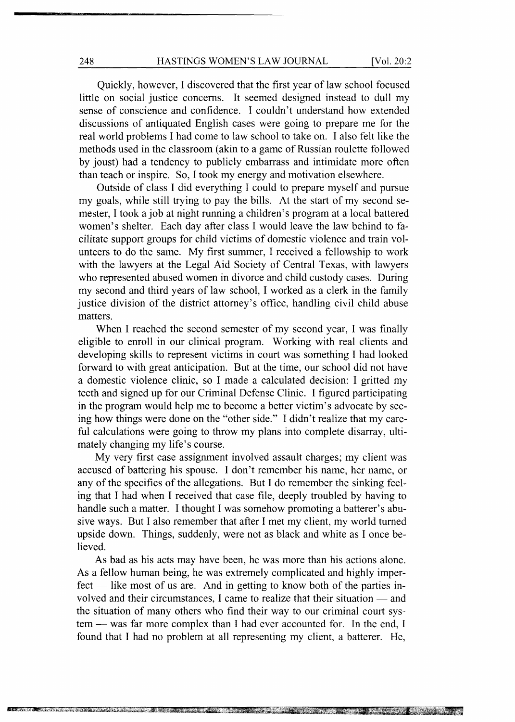Quickly, however, I discovered that the first year of law school focused little on social justice concerns. It seemed designed instead to dull my sense of conscience and confidence. I couldn't understand how extended discussions of antiquated English cases were going to prepare me for the real world problems I had come to law school to take on. I also felt like the methods used in the classroom (akin to a game of Russian roulette followed by joust) had a tendency to publicly embarrass and intimidate more often than teach or inspire. So, I took my energy and motivation elsewhere.

Outside of class I did everything I could to prepare myself and pursue my goals, while still trying to pay the bills. At the start of my second semester, I took a job at night running a children's program at a local battered women's shelter. Each day after class I would leave the law behind to facilitate support groups for child victims of domestic violence and train volunteers to do the same. My first summer, I received a fellowship to work with the lawyers at the Legal Aid Society of Central Texas, with lawyers who represented abused women in divorce and child custody cases. During my second and third years of law school, I worked as a clerk in the family justice division of the district attorney's office, handling civil child abuse matters.

When I reached the second semester of my second year, I was finally eligible to enroll in our clinical program. Working with real clients and developing skills to represent victims in court was something I had looked forward to with great anticipation. But at the time, our school did not have a domestic violence clinic, so I made a calculated decision: I gritted my teeth and signed up for our Criminal Defense Clinic. I figured participating in the program would help me to become a better victim's advocate by seeing how things were done on the "other side." I didn't realize that my careful calculations were going to throw my plans into complete disarray, ultimately changing my life's course.

My very first case assignment involved assault charges; my client was accused of battering his spouse. I don't remember his name, her name, or any of the specifics of the allegations. But I do remember the sinking feeling that I had when I received that case file, deeply troubled by having to handle such a matter. I thought I was somehow promoting a batterer's abusive ways. But I also remember that after I met my client, my world turned upside down. Things, suddenly, were not as black and white as I once believed.

As bad as his acts may have been, he was more than his actions alone. As a fellow human being, he was extremely complicated and highly imper $fect$  - like most of us are. And in getting to know both of the parties involved and their circumstances, I came to realize that their situation — and the situation of many others who find their way to our criminal court system - was far more complex than I had ever accounted for. In the end, I found that I had no problem at all representing my client, a batterer. He,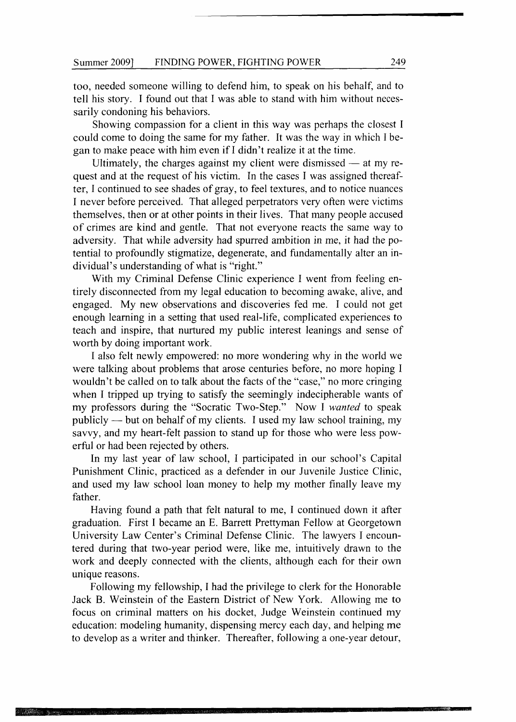too, needed someone willing to defend him, to speak on his behalf, and to tell his story. I found out that I was able to stand with him without necessarily condoning his behaviors.

Showing compassion for a client in this way was perhaps the closest I could come to doing the same for my father. It was the way in which I began to make peace with him even if I didn't realize it at the time.

Ultimately, the charges against my client were dismissed  $-$  at my request and at the request of his victim. In the cases I was assigned thereafter, I continued to see shades of gray, to feel textures, and to notice nuances I never before perceived. That alleged perpetrators very often were victims themselves, then or at other points in their lives. That many people accused of crimes are kind and gentle. That not everyone reacts the same way to adversity. That while adversity had spurred ambition in me, it had the potential to profoundly stigmatize, degenerate, and fundamentally alter an individual's understanding of what is "right."

With my Criminal Defense Clinic experience I went from feeling entirely disconnected from my legal education to becoming awake, alive, and engaged. My new observations and discoveries fed me. I could not get enough learning in a setting that used real-life, complicated experiences to teach and inspire, that nurtured my public interest leanings and sense of worth by doing important work.

I also felt newly empowered: no more wondering why in the world we were talking about problems that arose centuries before, no more hoping I wouldn't be called on to talk about the facts of the "case," no more cringing when I tripped up trying to satisfy the seemingly indecipherable wants of my professors during the "Socratic Two-Step." Now I *wanted* to speak publicly - but on behalf of my clients. I used my law school training, my savvy, and my heart-felt passion to stand up for those who were less powerful or had been rejected by others.

In my last year of law school, I participated in our school's Capital Punishment Clinic, practiced as a defender in our Juvenile Justice Clinic, and used my law school loan money to help my mother finally leave my father.

Having found a path that felt natural to me, I continued down it after graduation. First I became an E. Barrett Prettyman Fellow at Georgetown University Law Center's Criminal Defense Clinic. The lawyers I encountered during that two-year period were, like me, intuitively drawn to the work and deeply connected with the clients, although each for their own unique reasons.

Following my fellowship, I had the privilege to clerk for the Honorable Jack B. Weinstein of the Eastern District of New York. Allowing me to focus on criminal matters on his docket, Judge Weinstein continued my education: modeling humanity, dispensing mercy each day, and helping me to develop as a writer and thinker. Thereafter, following a one-year detour,

**THE SECTION**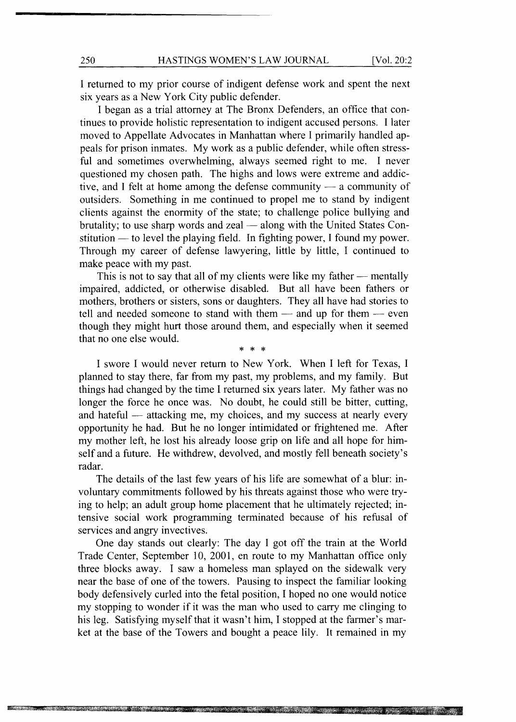I returned to my prior course of indigent defense work and spent the next six years as a New York City public defender.

I began as a trial attorney at The Bronx Defenders, an office that continues to provide holistic representation to indigent accused persons. I later moved to Appellate Advocates in Manhattan where I primarily handled appeals for prison inmates. My work as a public defender, while often stressful and sometimes overwhelming, always seemed right to me. I never questioned my chosen path. The highs and lows were extreme and addictive, and I felt at home among the defense community  $-$  a community of outsiders. Something in me continued to propel me to stand by indigent clients against the enormity of the state; to challenge police bullying and brutality; to use sharp words and zeal  $-$  along with the United States Constitution — to level the playing field. In fighting power, I found my power. Through my career of defense lawyering, little by little, I continued to make peace with my past.

This is not to say that all of my clients were like my father  $-$  mentally impaired, addicted, or otherwise disabled. But all have been fathers or mothers, brothers or sisters, sons or daughters. They all have had stories to tell and needed someone to stand with them - and up for them - even though they might hurt those around them, and especially when it seemed that no one else would.

\* \* \* I swore I would never return to New York. When I left for Texas, I planned to stay there, far from my past, my problems, and my family. But things had changed by the time I returned six years later. My father was no longer the force he once was. No doubt, he could still be bitter, cutting, and hateful — attacking me, my choices, and my success at nearly every opportunity he had. But he no longer intimidated or frightened me. After my mother left, he lost his already loose grip on life and all hope for himself and a future. He withdrew, devolved, and mostly fell beneath society's radar.

The details of the last few years of his life are somewhat of a blur: involuntary commitments followed by his threats against those who were trying to help; an adult group home placement that he ultimately rejected; intensive social work programming terminated because of his refusal of services and angry invectives.

One day stands out clearly: The day I got off the train at the World Trade Center, September 10, 2001, en route to my Manhattan office only three blocks away. I saw a homeless man splayed on the sidewalk very near the base of one of the towers. Pausing to inspect the familiar looking body defensively curled into the fetal position, I hoped no one would notice my stopping to wonder if it was the man who used to carry me clinging to his leg. Satisfying myself that it wasn't him, I stopped at the farmer's market at the base of the Towers and bought a peace lily. It remained in my